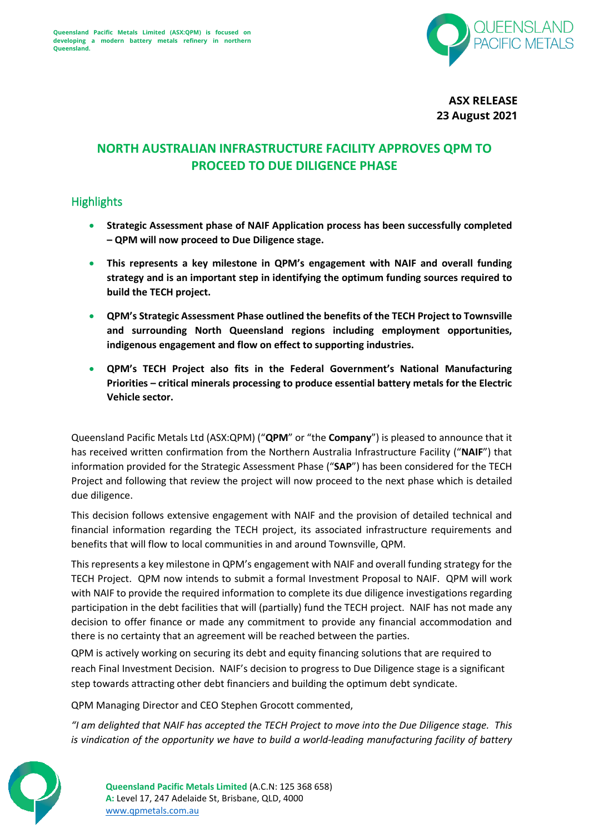

**ASX RELEASE 23 August 2021**

## **NORTH AUSTRALIAN INFRASTRUCTURE FACILITY APPROVES QPM TO PROCEED TO DUE DILIGENCE PHASE**

## **Highlights**

- **Strategic Assessment phase of NAIF Application process has been successfully completed – QPM will now proceed to Due Diligence stage.**
- **This represents a key milestone in QPM's engagement with NAIF and overall funding strategy and is an important step in identifying the optimum funding sources required to build the TECH project.**
- **QPM's Strategic Assessment Phase outlined the benefits of the TECH Project to Townsville and surrounding North Queensland regions including employment opportunities, indigenous engagement and flow on effect to supporting industries.**
- **QPM's TECH Project also fits in the Federal Government's National Manufacturing Priorities – critical minerals processing to produce essential battery metals for the Electric Vehicle sector.**

Queensland Pacific Metals Ltd (ASX:QPM) ("**QPM**" or "the **Company**") is pleased to announce that it has received written confirmation from the Northern Australia Infrastructure Facility ("**NAIF**") that information provided for the Strategic Assessment Phase ("**SAP**") has been considered for the TECH Project and following that review the project will now proceed to the next phase which is detailed due diligence.

This decision follows extensive engagement with NAIF and the provision of detailed technical and financial information regarding the TECH project, its associated infrastructure requirements and benefits that will flow to local communities in and around Townsville, QPM.

This represents a key milestone in QPM's engagement with NAIF and overall funding strategy for the TECH Project. QPM now intends to submit a formal Investment Proposal to NAIF. QPM will work with NAIF to provide the required information to complete its due diligence investigations regarding participation in the debt facilities that will (partially) fund the TECH project. NAIF has not made any decision to offer finance or made any commitment to provide any financial accommodation and there is no certainty that an agreement will be reached between the parties.

QPM is actively working on securing its debt and equity financing solutions that are required to reach Final Investment Decision. NAIF's decision to progress to Due Diligence stage is a significant step towards attracting other debt financiers and building the optimum debt syndicate.

QPM Managing Director and CEO Stephen Grocott commented,

*"I am delighted that NAIF has accepted the TECH Project to move into the Due Diligence stage. This is vindication of the opportunity we have to build a world-leading manufacturing facility of battery*